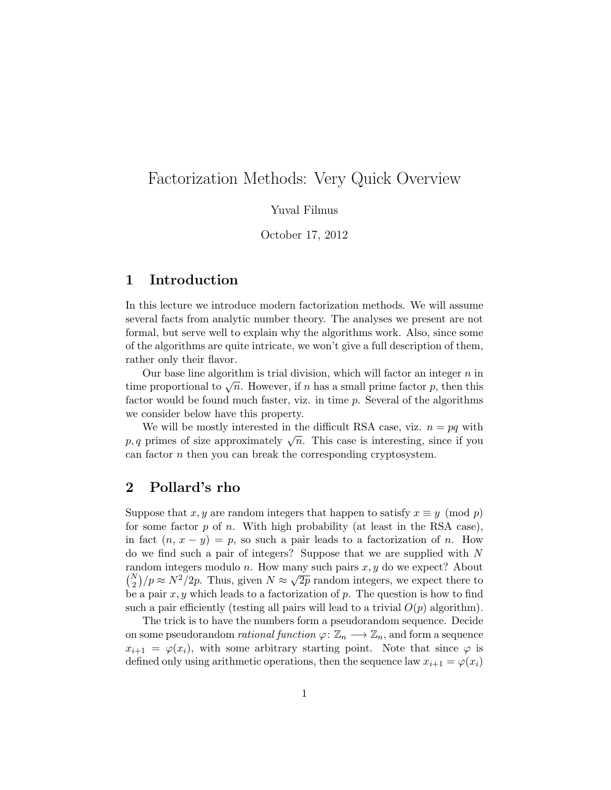# <span id="page-0-0"></span>Factorization Methods: Very Quick Overview

Yuval Filmus

October 17, 2012

## 1 Introduction

In this lecture we introduce modern factorization methods. We will assume several facts from analytic number theory. The analyses we present are not formal, but serve well to explain why the algorithms work. Also, since some of the algorithms are quite intricate, we won't give a full description of them, rather only their flavor.

Our base line algorithm is trial division, which will factor an integer  $n$  in Our base line algorithm is trial division, which will factor an integer  $n$  in time proportional to  $\sqrt{n}$ . However, if n has a small prime factor p, then this factor would be found much faster, viz. in time p. Several of the algorithms we consider below have this property.

We will be mostly interested in the difficult RSA case, viz.  $n = pq$  with we will be mostly interested in the difficult KSA case, viz.  $n = pq$  with  $p, q$  primes of size approximately  $\sqrt{n}$ . This case is interesting, since if you can factor  $n$  then you can break the corresponding cryptosystem.

### 2 Pollard's rho

Suppose that x, y are random integers that happen to satisfy  $x \equiv y \pmod{p}$ for some factor  $p$  of  $n$ . With high probability (at least in the RSA case), in fact  $(n, x - y) = p$ , so such a pair leads to a factorization of n. How do we find such a pair of integers? Suppose that we are supplied with N random integers modulo *n*. How many such pairs  $x, y$  do we expect? About  $\binom{N}{2}/p \approx N^2/2p$ . Thus, given  $N \approx \sqrt{2p}$  random integers, we expect there to be a pair  $x, y$  which leads to a factorization of  $p$ . The question is how to find such a pair efficiently (testing all pairs will lead to a trivial  $O(p)$  algorithm).

The trick is to have the numbers form a pseudorandom sequence. Decide on some pseudorandom *rational function*  $\varphi: \mathbb{Z}_n \longrightarrow \mathbb{Z}_n$ , and form a sequence  $x_{i+1} = \varphi(x_i)$ , with some arbitrary starting point. Note that since  $\varphi$  is defined only using arithmetic operations, then the sequence law  $x_{i+1} = \varphi(x_i)$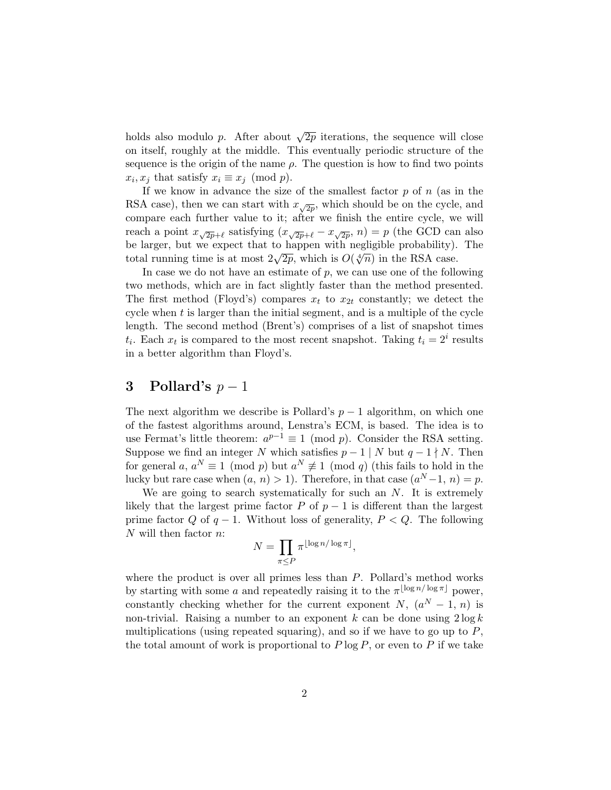holds also modulo p. After about  $\sqrt{2p}$  iterations, the sequence will close on itself, roughly at the middle. This eventually periodic structure of the sequence is the origin of the name  $\rho$ . The question is how to find two points  $x_i, x_j$  that satisfy  $x_i \equiv x_j \pmod{p}$ .

If we know in advance the size of the smallest factor  $p$  of  $n$  (as in the RSA case), then we can start with  $x_{\sqrt{2p}}$ , which should be on the cycle, and compare each further value to it; after we finish the entire cycle, we will reach a point  $x_{\sqrt{2p}+\ell}$  satisfying  $(x_{\sqrt{2p}+\ell} - x_{\sqrt{2p}}, n) = p$  (the GCD can also be larger, but we expect that to happen with negligible probability). The be targer, but we expect that to happen with hegigible probability).<br>total running time is at most  $2\sqrt{2p}$ , which is  $O(\sqrt[4]{n})$  in the RSA case.

In case we do not have an estimate of  $p$ , we can use one of the following two methods, which are in fact slightly faster than the method presented. The first method (Floyd's) compares  $x_t$  to  $x_{2t}$  constantly; we detect the cycle when t is larger than the initial segment, and is a multiple of the cycle length. The second method (Brent's) comprises of a list of snapshot times  $t_i$ . Each  $x_t$  is compared to the most recent snapshot. Taking  $t_i = 2^i$  results in a better algorithm than Floyd's.

#### 3 Pollard's  $p-1$

The next algorithm we describe is Pollard's  $p-1$  algorithm, on which one of the fastest algorithms around, Lenstra's ECM, is based. The idea is to use Fermat's little theorem:  $a^{p-1} \equiv 1 \pmod{p}$ . Consider the RSA setting. Suppose we find an integer N which satisfies  $p-1 \mid N$  but  $q-1 \nmid N$ . Then for general a,  $a^N \equiv 1 \pmod{p}$  but  $a^N \not\equiv 1 \pmod{q}$  (this fails to hold in the lucky but rare case when  $(a, n) > 1$ ). Therefore, in that case  $(a<sup>N</sup>-1, n) = p$ .

We are going to search systematically for such an  $N$ . It is extremely likely that the largest prime factor P of  $p-1$  is different than the largest prime factor Q of  $q-1$ . Without loss of generality,  $P < Q$ . The following  $N$  will then factor  $n$ :

$$
N = \prod_{\pi \leq P} \pi^{\lfloor \log n / \log \pi \rfloor},
$$

where the product is over all primes less than  $P$ . Pollard's method works by starting with some a and repeatedly raising it to the  $\pi^{\lfloor \log n / \log \pi \rfloor}$  power, constantly checking whether for the current exponent N,  $(a^N - 1, n)$  is non-trivial. Raising a number to an exponent k can be done using  $2 \log k$ multiplications (using repeated squaring), and so if we have to go up to  $P$ , the total amount of work is proportional to  $P \log P$ , or even to P if we take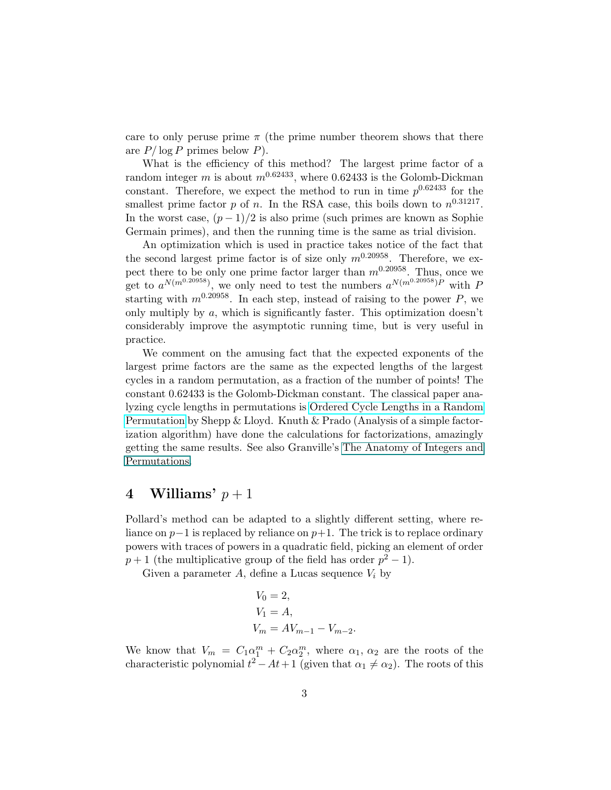care to only peruse prime  $\pi$  (the prime number theorem shows that there are  $P/\log P$  primes below P).

What is the efficiency of this method? The largest prime factor of a random integer m is about  $m^{0.62433}$ , where 0.62433 is the Golomb-Dickman constant. Therefore, we expect the method to run in time  $p^{0.62433}$  for the smallest prime factor p of n. In the RSA case, this boils down to  $n^{0.31217}$ . In the worst case,  $(p-1)/2$  is also prime (such primes are known as Sophie Germain primes), and then the running time is the same as trial division.

An optimization which is used in practice takes notice of the fact that the second largest prime factor is of size only  $m^{0.20958}$ . Therefore, we expect there to be only one prime factor larger than  $m^{0.20958}$ . Thus, once we get to  $a^{N(m^0.20958)}$ , we only need to test the numbers  $a^{N(m^0.20958)}P$  with P starting with  $m^{0.20958}$ . In each step, instead of raising to the power P, we only multiply by a, which is significantly faster. This optimization doesn't considerably improve the asymptotic running time, but is very useful in practice.

We comment on the amusing fact that the expected exponents of the largest prime factors are the same as the expected lengths of the largest cycles in a random permutation, as a fraction of the number of points! The constant 0.62433 is the Golomb-Dickman constant. The classical paper analyzing cycle lengths in permutations is [Ordered Cycle Lengths in a Random](http://www.jstor.org/stable/1994483) [Permutation](http://www.jstor.org/stable/1994483) by Shepp & Lloyd. Knuth & Prado (Analysis of a simple factorization algorithm) have done the calculations for factorizations, amazingly getting the same results. See also Granville's [The Anatomy of Integers and](#page-0-0) [Permutations.](#page-0-0)

#### 4 Williams'  $p+1$

Pollard's method can be adapted to a slightly different setting, where reliance on  $p-1$  is replaced by reliance on  $p+1$ . The trick is to replace ordinary powers with traces of powers in a quadratic field, picking an element of order  $p+1$  (the multiplicative group of the field has order  $p^2-1$ ).

Given a parameter A, define a Lucas sequence  $V_i$  by

$$
V_0 = 2,
$$
  
\n
$$
V_1 = A,
$$
  
\n
$$
V_m = AV_{m-1} - V_{m-2}.
$$

We know that  $V_m = C_1 \alpha_1^m + C_2 \alpha_2^m$ , where  $\alpha_1, \alpha_2$  are the roots of the characteristic polynomial  $t^2 - At + 1$  (given that  $\alpha_1 \neq \alpha_2$ ). The roots of this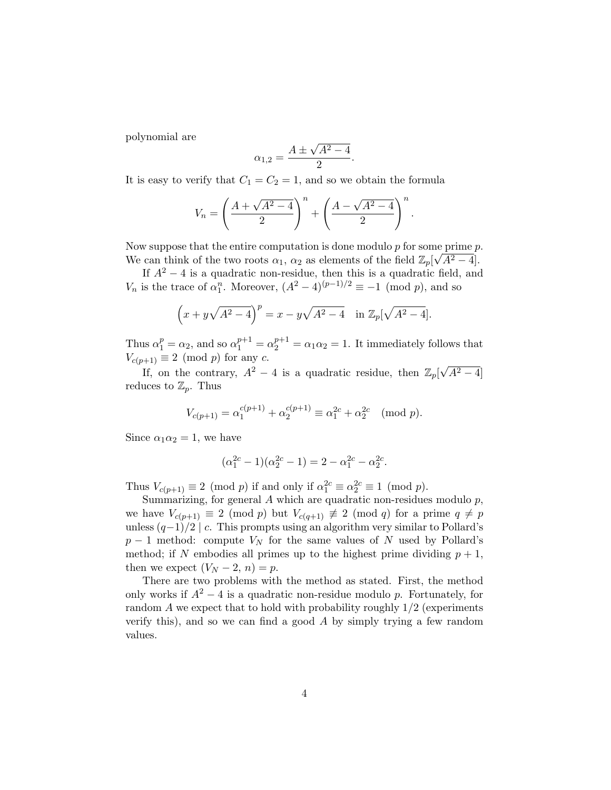polynomial are

$$
\alpha_{1,2} = \frac{A \pm \sqrt{A^2 - 4}}{2}.
$$

It is easy to verify that  $C_1 = C_2 = 1$ , and so we obtain the formula

$$
V_n = \left(\frac{A + \sqrt{A^2 - 4}}{2}\right)^n + \left(\frac{A - \sqrt{A^2 - 4}}{2}\right)^n.
$$

Now suppose that the entire computation is done modulo p for some prime p. We can think of the two roots  $\alpha_1, \alpha_2$  as elements of the field  $\mathbb{Z}_p[\sqrt{A^2-4}]$ .

If  $A^2 - 4$  is a quadratic non-residue, then this is a quadratic field, and  $V_n$  is the trace of  $\alpha_1^n$ . Moreover,  $(A^2 - 4)^{(p-1)/2} \equiv -1 \pmod{p}$ , and so

$$
(x + y\sqrt{A^2 - 4})^p = x - y\sqrt{A^2 - 4} \text{ in } \mathbb{Z}_p[\sqrt{A^2 - 4}].
$$

Thus  $\alpha_1^p = \alpha_2$ , and so  $\alpha_1^{p+1} = \alpha_2^{p+1} = \alpha_1 \alpha_2 = 1$ . It immediately follows that  $V_{c(p+1)} \equiv 2 \pmod{p}$  for any c.

 $I_{+1}^{(n)} = 2 \pmod{p}$  for any  $C_n$ .<br>If, on the contrary,  $A^2 - 4$  is a quadratic residue, then  $\mathbb{Z}_p[\sqrt{n}]$  $\overline{A^2-4}$ ] reduces to  $\mathbb{Z}_p$ . Thus

$$
V_{c(p+1)} = \alpha_1^{c(p+1)} + \alpha_2^{c(p+1)} \equiv \alpha_1^{2c} + \alpha_2^{2c} \pmod{p}.
$$

Since  $\alpha_1\alpha_2=1$ , we have

$$
(\alpha_1^{2c} - 1)(\alpha_2^{2c} - 1) = 2 - \alpha_1^{2c} - \alpha_2^{2c}.
$$

Thus  $V_{c(p+1)} \equiv 2 \pmod{p}$  if and only if  $\alpha_1^{2c} \equiv \alpha_2^{2c} \equiv 1 \pmod{p}$ .

Summarizing, for general  $A$  which are quadratic non-residues modulo  $p$ , we have  $V_{c(p+1)} \equiv 2 \pmod{p}$  but  $V_{c(q+1)} \not\equiv 2 \pmod{q}$  for a prime  $q \neq p$ unless  $(q-1)/2$  | c. This prompts using an algorithm very similar to Pollard's  $p-1$  method: compute  $V_N$  for the same values of N used by Pollard's method; if N embodies all primes up to the highest prime dividing  $p + 1$ , then we expect  $(V_N - 2, n) = p$ .

There are two problems with the method as stated. First, the method only works if  $A^2 - 4$  is a quadratic non-residue modulo p. Fortunately, for random  $\ddot{A}$  we expect that to hold with probability roughly  $1/2$  (experiments verify this), and so we can find a good A by simply trying a few random values.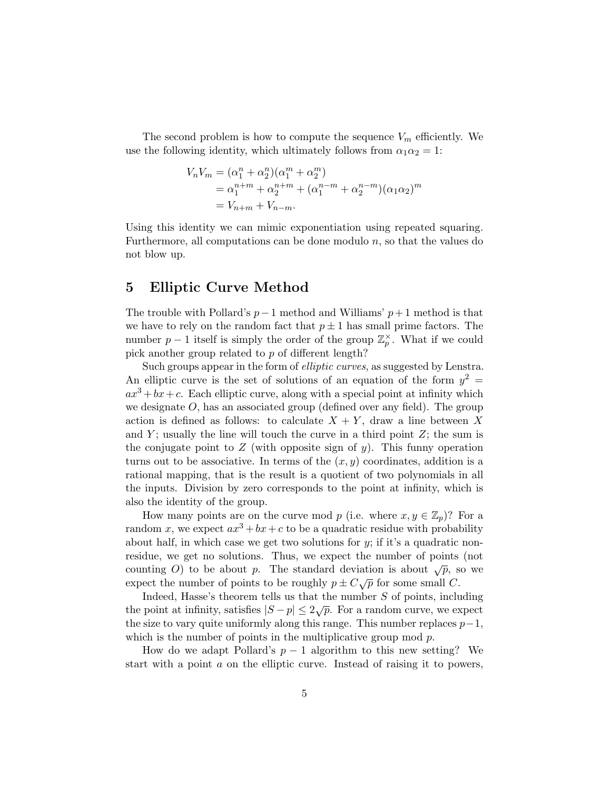The second problem is how to compute the sequence  $V_m$  efficiently. We use the following identity, which ultimately follows from  $\alpha_1 \alpha_2 = 1$ :

$$
V_n V_m = (\alpha_1^n + \alpha_2^n)(\alpha_1^m + \alpha_2^m)
$$
  
=  $\alpha_1^{n+m} + \alpha_2^{n+m} + (\alpha_1^{n-m} + \alpha_2^{n-m})(\alpha_1 \alpha_2)^m$   
=  $V_{n+m} + V_{n-m}$ .

Using this identity we can mimic exponentiation using repeated squaring. Furthermore, all computations can be done modulo n, so that the values do not blow up.

### 5 Elliptic Curve Method

The trouble with Pollard's  $p-1$  method and Williams'  $p+1$  method is that we have to rely on the random fact that  $p \pm 1$  has small prime factors. The number  $p-1$  itself is simply the order of the group  $\mathbb{Z}_p^{\times}$ . What if we could pick another group related to p of different length?

Such groups appear in the form of *elliptic curves*, as suggested by Lenstra. An elliptic curve is the set of solutions of an equation of the form  $y^2 =$  $ax^{3}+bx+c$ . Each elliptic curve, along with a special point at infinity which we designate  $O$ , has an associated group (defined over any field). The group action is defined as follows: to calculate  $X + Y$ , draw a line between X and Y; usually the line will touch the curve in a third point  $Z$ ; the sum is the conjugate point to  $Z$  (with opposite sign of  $y$ ). This funny operation turns out to be associative. In terms of the  $(x, y)$  coordinates, addition is a rational mapping, that is the result is a quotient of two polynomials in all the inputs. Division by zero corresponds to the point at infinity, which is also the identity of the group.

How many points are on the curve mod p (i.e. where  $x, y \in \mathbb{Z}_p$ )? For a random x, we expect  $ax^3 + bx + c$  to be a quadratic residue with probability about half, in which case we get two solutions for  $y$ ; if it's a quadratic nonresidue, we get no solutions. Thus, we expect the number of points (not counting O) to be about p. The standard deviation is about  $\sqrt{p}$ , so we expect the number of points to be roughly  $p \pm C\sqrt{p}$  for some small C.

Indeed, Hasse's theorem tells us that the number S of points, including the point at infinity, satisfies  $|S - p| \leq 2\sqrt{p}$ . For a random curve, we expect the size to vary quite uniformly along this range. This number replaces  $p-1$ , which is the number of points in the multiplicative group mod  $p$ .

How do we adapt Pollard's  $p-1$  algorithm to this new setting? We start with a point a on the elliptic curve. Instead of raising it to powers,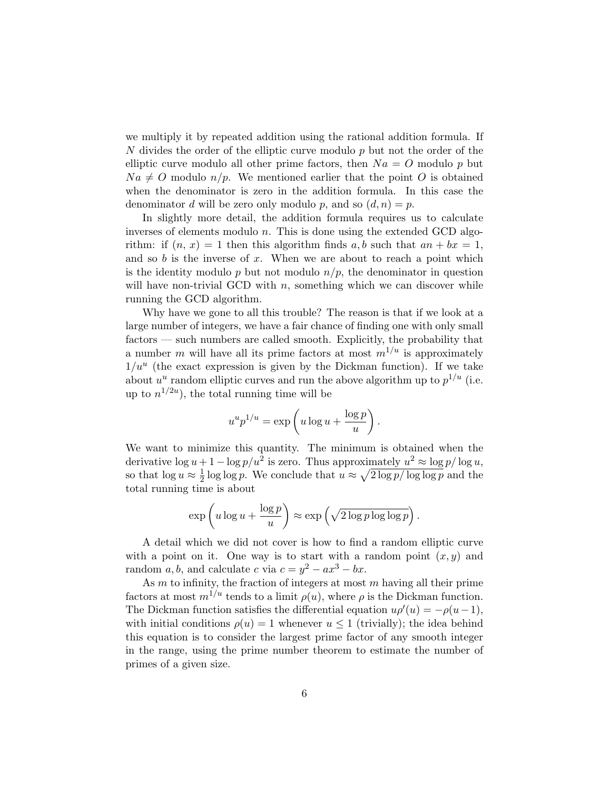we multiply it by repeated addition using the rational addition formula. If N divides the order of the elliptic curve modulo  $p$  but not the order of the elliptic curve modulo all other prime factors, then  $Na = O$  modulo p but  $Na \neq O$  modulo  $n/p$ . We mentioned earlier that the point O is obtained when the denominator is zero in the addition formula. In this case the denominator d will be zero only modulo p, and so  $(d, n) = p$ .

In slightly more detail, the addition formula requires us to calculate inverses of elements modulo n. This is done using the extended GCD algorithm: if  $(n, x) = 1$  then this algorithm finds a, b such that  $an + bx = 1$ , and so  $b$  is the inverse of  $x$ . When we are about to reach a point which is the identity modulo p but not modulo  $n/p$ , the denominator in question will have non-trivial GCD with  $n$ , something which we can discover while running the GCD algorithm.

Why have we gone to all this trouble? The reason is that if we look at a large number of integers, we have a fair chance of finding one with only small factors — such numbers are called smooth. Explicitly, the probability that a number m will have all its prime factors at most  $m^{1/u}$  is approximately  $1/u^u$  (the exact expression is given by the Dickman function). If we take about  $u^u$  random elliptic curves and run the above algorithm up to  $p^{1/u}$  (i.e. up to  $n^{1/2u}$ , the total running time will be

$$
u^u p^{1/u} = \exp\left(u \log u + \frac{\log p}{u}\right).
$$

We want to minimize this quantity. The minimum is obtained when the derivative  $\log u + 1 - \log p/u^2$  is zero. Thus approximately  $u^2 \approx \log p/\log u$ , so that  $\log u \approx \frac{1}{2}$  $\frac{1}{2}$ log log p. We conclude that  $u \approx \sqrt{2 \log p / \log \log p}$  and the total running time is about

$$
\exp\left(u\log u + \frac{\log p}{u}\right) \approx \exp\left(\sqrt{2\log p \log \log p}\right).
$$

A detail which we did not cover is how to find a random elliptic curve with a point on it. One way is to start with a random point  $(x, y)$  and random a, b, and calculate c via  $c = y^2 - ax^3 - bx$ .

As  $m$  to infinity, the fraction of integers at most  $m$  having all their prime factors at most  $m^{1/u}$  tends to a limit  $\rho(u)$ , where  $\rho$  is the Dickman function. The Dickman function satisfies the differential equation  $u\rho'(u) = -\rho(u-1)$ , with initial conditions  $\rho(u) = 1$  whenever  $u \leq 1$  (trivially); the idea behind this equation is to consider the largest prime factor of any smooth integer in the range, using the prime number theorem to estimate the number of primes of a given size.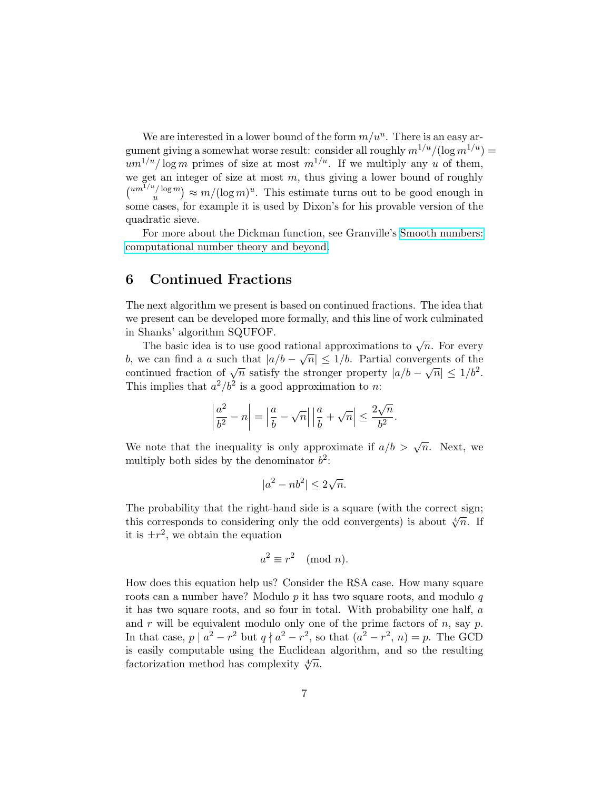We are interested in a lower bound of the form  $m/u^u$ . There is an easy argument giving a somewhat worse result: consider all roughly  $m^{1/u}/(\log m^{1/u}) =$  $u m^{1/u}$  log m primes of size at most  $m^{1/u}$ . If we multiply any u of them, we get an integer of size at most  $m$ , thus giving a lower bound of roughly  $\binom{um^{1/u}/\log m}{u}$  $\binom{n}{u} \approx m/(\log m)^u$ . This estimate turns out to be good enough in some cases, for example it is used by Dixon's for his provable version of the quadratic sieve.

For more about the Dickman function, see Granville's [Smooth numbers:](http://www.dms.umontreal.ca/~andrew/PDF/msrire.pdf) [computational number theory and beyond.](http://www.dms.umontreal.ca/~andrew/PDF/msrire.pdf)

#### 6 Continued Fractions

The next algorithm we present is based on continued fractions. The idea that we present can be developed more formally, and this line of work culminated in Shanks' algorithm SQUFOF.

The basic idea is to use good rational approximations to  $\sqrt{n}$ . For every b, we can find a a such that  $|a/b - \sqrt{n}| \leq 1/b$ . Partial convergents of the o, we can find a a such that  $|a/b - \sqrt{n}| \le 1/b$ . I artial convergents of the continued fraction of  $\sqrt{n}$  satisfy the stronger property  $|a/b - \sqrt{n}| \le 1/b^2$ . This implies that  $a^2/b^2$  is a good approximation to n:

$$
\left|\frac{a^2}{b^2} - n\right| = \left|\frac{a}{b} - \sqrt{n}\right| \left|\frac{a}{b} + \sqrt{n}\right| \le \frac{2\sqrt{n}}{b^2}.
$$

We note that the inequality is only approximate if  $a/b > \sqrt{n}$ . Next, we multiply both sides by the denominator  $b^2$ :

$$
|a^2 - nb^2| \le 2\sqrt{n}.
$$

The probability that the right-hand side is a square (with the correct sign; this corresponds to considering only the odd convergents) is about  $\sqrt[4]{n}$ . If it is  $\pm r^2$ , we obtain the equation

$$
a^2 \equiv r^2 \pmod{n}.
$$

How does this equation help us? Consider the RSA case. How many square roots can a number have? Modulo  $p$  it has two square roots, and modulo  $q$ it has two square roots, and so four in total. With probability one half, a and r will be equivalent modulo only one of the prime factors of  $n$ , say  $p$ . In that case,  $p | a^2 - r^2$  but  $q \nmid a^2 - r^2$ , so that  $(a^2 - r^2, n) = p$ . The GCD is easily computable using the Euclidean algorithm, and so the resulting factorization method has complexity  $\sqrt[4]{n}$ .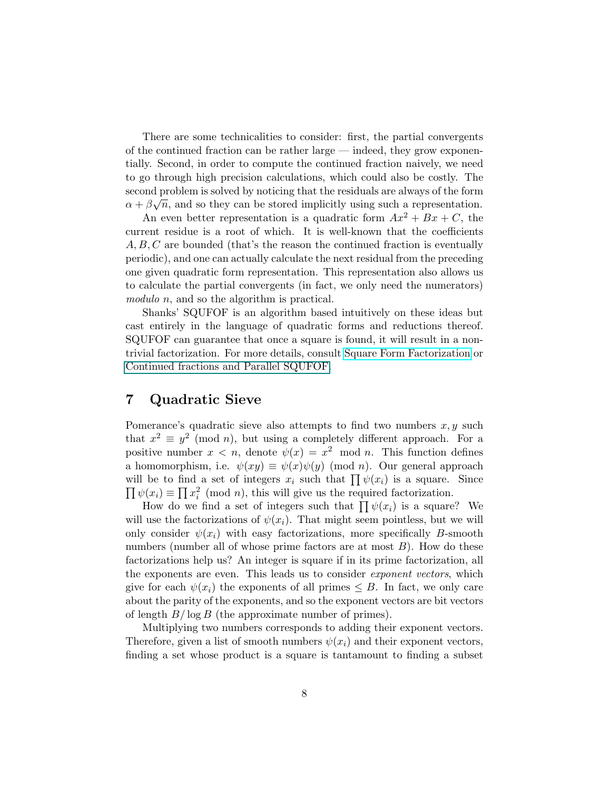There are some technicalities to consider: first, the partial convergents of the continued fraction can be rather large — indeed, they grow exponentially. Second, in order to compute the continued fraction naively, we need to go through high precision calculations, which could also be costly. The second problem is solved by noticing that the residuals are always of the form  $\alpha + \beta \sqrt{n}$ , and so they can be stored implicitly using such a representation.

An even better representation is a quadratic form  $Ax^2 + Bx + C$ , the current residue is a root of which. It is well-known that the coefficients  $A, B, C$  are bounded (that's the reason the continued fraction is eventually periodic), and one can actually calculate the next residual from the preceding one given quadratic form representation. This representation also allows us to calculate the partial convergents (in fact, we only need the numerators) modulo n, and so the algorithm is practical.

Shanks' SQUFOF is an algorithm based intuitively on these ideas but cast entirely in the language of quadratic forms and reductions thereof. SQUFOF can guarantee that once a square is found, it will result in a nontrivial factorization. For more details, consult [Square Form Factorization](http://www.ams.org/mcom/2008-77-261/S0025-5718-07-02010-8/S0025-5718-07-02010-8.pdf) or [Continued fractions and Parallel SQUFOF.](#page-0-0)

### 7 Quadratic Sieve

Pomerance's quadratic sieve also attempts to find two numbers  $x, y$  such that  $x^2 \equiv y^2 \pmod{n}$ , but using a completely different approach. For a positive number  $x < n$ , denote  $\psi(x) = x^2 \mod n$ . This function defines a homomorphism, i.e.  $\psi(xy) \equiv \psi(x)\psi(y) \pmod{n}$ . Our general approach will be to find a set of integers  $x_i$  such that  $\prod \psi(x_i)$  is a square. Since  $\prod \psi(x_i) \equiv \prod x_i^2 \pmod{n}$ , this will give us the required factorization.

How do we find a set of integers such that  $\prod \psi(x_i)$  is a square? We will use the factorizations of  $\psi(x_i)$ . That might seem pointless, but we will only consider  $\psi(x_i)$  with easy factorizations, more specifically B-smooth numbers (number all of whose prime factors are at most  $B$ ). How do these factorizations help us? An integer is square if in its prime factorization, all the exponents are even. This leads us to consider *exponent vectors*, which give for each  $\psi(x_i)$  the exponents of all primes  $\leq B$ . In fact, we only care about the parity of the exponents, and so the exponent vectors are bit vectors of length  $B/\log B$  (the approximate number of primes).

Multiplying two numbers corresponds to adding their exponent vectors. Therefore, given a list of smooth numbers  $\psi(x_i)$  and their exponent vectors, finding a set whose product is a square is tantamount to finding a subset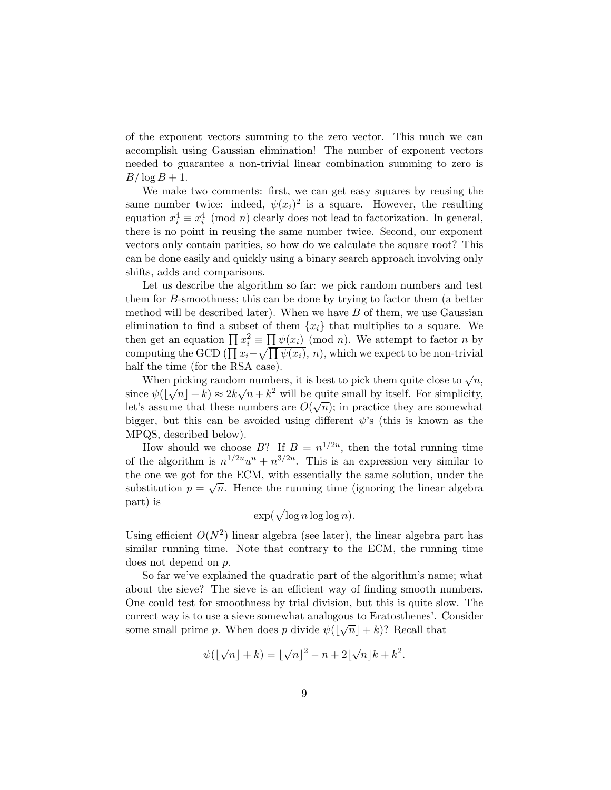of the exponent vectors summing to the zero vector. This much we can accomplish using Gaussian elimination! The number of exponent vectors needed to guarantee a non-trivial linear combination summing to zero is  $B/\log B + 1$ .

We make two comments: first, we can get easy squares by reusing the same number twice: indeed,  $\psi(x_i)^2$  is a square. However, the resulting equation  $x_i^4 \equiv x_i^4 \pmod{n}$  clearly does not lead to factorization. In general, there is no point in reusing the same number twice. Second, our exponent vectors only contain parities, so how do we calculate the square root? This can be done easily and quickly using a binary search approach involving only shifts, adds and comparisons.

Let us describe the algorithm so far: we pick random numbers and test them for B-smoothness; this can be done by trying to factor them (a better method will be described later). When we have  $B$  of them, we use Gaussian elimination to find a subset of them  $\{x_i\}$  that multiplies to a square. We then get an equation  $\prod x_i^2 \equiv \prod \psi(x_i) \pmod{n}$ . We attempt to factor n by computing the GCD ( $\prod x_i - \sqrt{\prod \psi(x_i)}$ , n), which we expect to be non-trivial half the time (for the RSA case).

When picking random numbers, it is best to pick them quite close to  $\sqrt{n}$ , since  $\psi(\lfloor \sqrt{n} \rfloor + k) \approx 2k\sqrt{n} + k^2$  will be quite small by itself. For simplicity, let's assume that these numbers are  $O(\sqrt{n})$ ; in practice they are somewhat bigger, but this can be avoided using different  $\psi$ 's (this is known as the MPQS, described below).

How should we choose B? If  $B = n^{1/2u}$ , then the total running time of the algorithm is  $n^{1/2u}u^u + n^{3/2u}$ . This is an expression very similar to the one we got for the ECM, with essentially the same solution, under the substitution  $p = \sqrt{n}$ . Hence the running time (ignoring the linear algebra part) is

 $\exp(\sqrt{\log n \log \log n}).$ 

Using efficient  $O(N^2)$  linear algebra (see later), the linear algebra part has similar running time. Note that contrary to the ECM, the running time does not depend on p.

So far we've explained the quadratic part of the algorithm's name; what about the sieve? The sieve is an efficient way of finding smooth numbers. One could test for smoothness by trial division, but this is quite slow. The correct way is to use a sieve somewhat analogous to Eratosthenes'. Consider √ some small prime p. When does p divide  $\psi(|\sqrt{n}|+k)$ ? Recall that

$$
\psi(\lfloor \sqrt{n} \rfloor + k) = \lfloor \sqrt{n} \rfloor^2 - n + 2\lfloor \sqrt{n} \rfloor k + k^2.
$$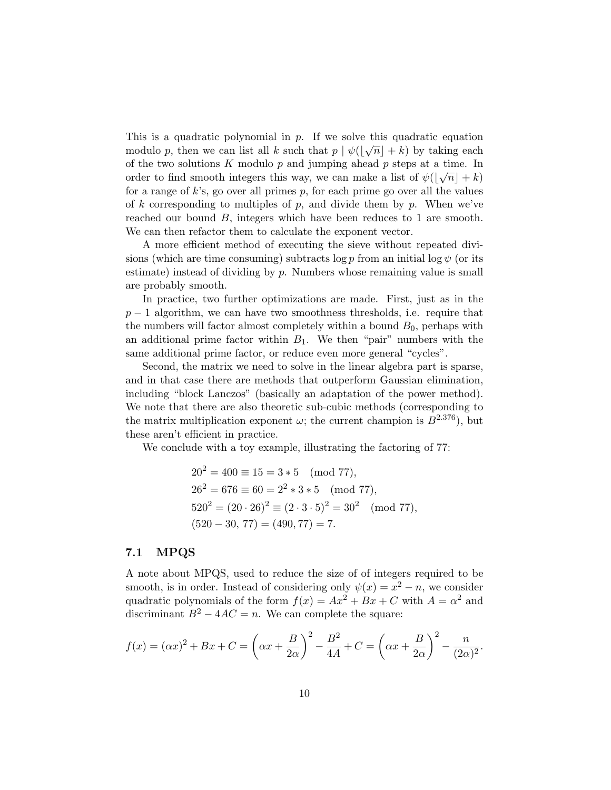This is a quadratic polynomial in p. If we solve this quadratic equation modulo p, then we can list all k such that  $p | \psi( \sqrt{n} | + k)$  by taking each of the two solutions K modulo p and jumping ahead p steps at a time. In order to find smooth integers this way, we can make a list of  $\psi(|\sqrt{n}|+k)$ for a range of  $k$ 's, go over all primes  $p$ , for each prime go over all the values of k corresponding to multiples of p, and divide them by p. When we've reached our bound B, integers which have been reduces to 1 are smooth. We can then refactor them to calculate the exponent vector.

A more efficient method of executing the sieve without repeated divisions (which are time consuming) subtracts log p from an initial log  $\psi$  (or its estimate) instead of dividing by  $p$ . Numbers whose remaining value is small are probably smooth.

In practice, two further optimizations are made. First, just as in the  $p-1$  algorithm, we can have two smoothness thresholds, i.e. require that the numbers will factor almost completely within a bound  $B_0$ , perhaps with an additional prime factor within  $B_1$ . We then "pair" numbers with the same additional prime factor, or reduce even more general "cycles".

Second, the matrix we need to solve in the linear algebra part is sparse, and in that case there are methods that outperform Gaussian elimination, including "block Lanczos" (basically an adaptation of the power method). We note that there are also theoretic sub-cubic methods (corresponding to the matrix multiplication exponent  $\omega$ ; the current champion is  $B^{2.376}$ ), but these aren't efficient in practice.

We conclude with a toy example, illustrating the factoring of 77:

$$
202 = 400 \equiv 15 = 3 * 5 \pmod{77},
$$
  
\n
$$
262 = 676 \equiv 60 = 22 * 3 * 5 \pmod{77},
$$
  
\n
$$
5202 = (20 \cdot 26)2 \equiv (2 \cdot 3 \cdot 5)2 = 302 \pmod{77},
$$
  
\n
$$
(520 - 30, 77) = (490, 77) = 7.
$$

#### 7.1 MPQS

A note about MPQS, used to reduce the size of of integers required to be smooth, is in order. Instead of considering only  $\psi(x) = x^2 - n$ , we consider quadratic polynomials of the form  $f(x) = Ax^2 + Bx + C$  with  $A = \alpha^2$  and discriminant  $B^2 - 4AC = n$ . We can complete the square:

$$
f(x) = (\alpha x)^{2} + Bx + C = \left(\alpha x + \frac{B}{2\alpha}\right)^{2} - \frac{B^{2}}{4A} + C = \left(\alpha x + \frac{B}{2\alpha}\right)^{2} - \frac{n}{(2\alpha)^{2}}.
$$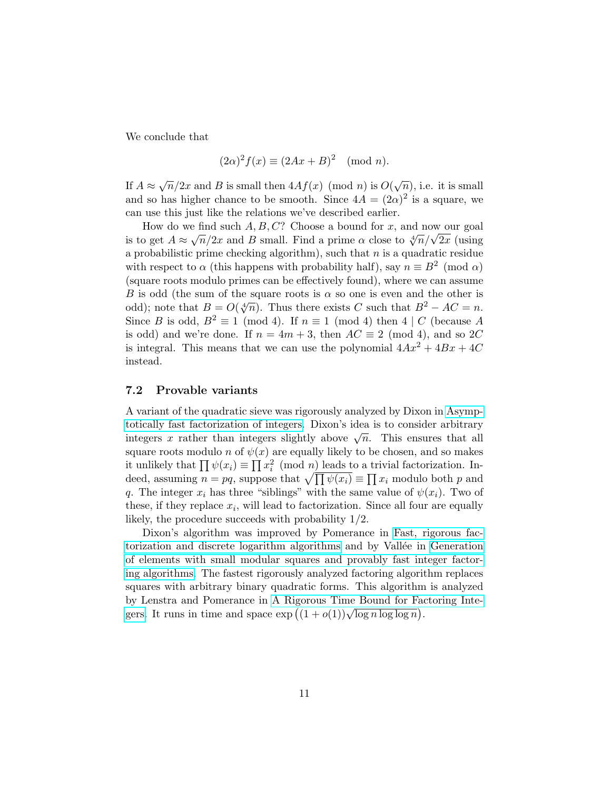We conclude that

$$
(2\alpha)^2 f(x) \equiv (2Ax + B)^2 \pmod{n}.
$$

If  $A \approx \sqrt{n}/2x$  and B is small then  $4Af(x) \pmod{n}$  is  $O(\sqrt{n})$ , i.e. it is small and so has higher chance to be smooth. Since  $4A = (2\alpha)^2$  is a square, we can use this just like the relations we've described earlier.

How do we find such  $A, B, C$ ? Choose a bound for x, and now our goal how do we find such *A*, *B*, *C* ⊥ Choose a bound for *x*, and how our goal is to get *A* ≈  $\sqrt{n}/2x$  and *B* small. Find a prime *α* close to  $\sqrt[n]{n}/\sqrt{2x}$  (using a probabilistic prime checking algorithm), such that  $n$  is a quadratic residue with respect to  $\alpha$  (this happens with probability half), say  $n \equiv B^2 \pmod{\alpha}$ (square roots modulo primes can be effectively found), where we can assume B is odd (the sum of the square roots is  $\alpha$  so one is even and the other is D is odd (the sum of the square roots is a so one is even and the other is odd); note that  $B = O(\sqrt[4]{n})$ . Thus there exists C such that  $B^2 - AC = n$ . Since B is odd,  $B^2 \equiv 1 \pmod{4}$ . If  $n \equiv 1 \pmod{4}$  then  $4 | C$  (because A is odd) and we're done. If  $n = 4m + 3$ , then  $AC \equiv 2 \pmod{4}$ , and so 2C is integral. This means that we can use the polynomial  $4Ax^2 + 4Bx + 4C$ instead.

#### 7.2 Provable variants

A variant of the quadratic sieve was rigorously analyzed by Dixon in [Asymp](http://www.jstor.org/stable/2007743)[totically fast factorization of integers.](http://www.jstor.org/stable/2007743) Dixon's idea is to consider arbitrary integers x rather than integers slightly above  $\sqrt{n}$ . This ensures that all square roots modulo n of  $\psi(x)$  are equally likely to be chosen, and so makes it unlikely that  $\prod \psi(x_i) \equiv \prod x_i^2 \pmod{n}$  leads to a trivial factorization. Indeed, assuming  $n = pq$ , suppose that  $\sqrt{\prod \psi(x_i)} \equiv \prod x_i$  modulo both p and q. The integer  $x_i$  has three "siblings" with the same value of  $\psi(x_i)$ . Two of these, if they replace  $x_i$ , will lead to factorization. Since all four are equally likely, the procedure succeeds with probability 1/2.

Dixon's algorithm was improved by Pomerance in [Fast, rigorous fac](http://www.math.dartmouth.edu/~carlp/disclog.pdf)[torization and discrete logarithm algorithms](http://www.math.dartmouth.edu/~carlp/disclog.pdf) and by Vallée in [Generation](http://www.jstor.org/stable/2008412) [of elements with small modular squares and provably fast integer factor](http://www.jstor.org/stable/2008412)[ing algorithms.](http://www.jstor.org/stable/2008412) The fastest rigorously analyzed factoring algorithm replaces squares with arbitrary binary quadratic forms. This algorithm is analyzed by Lenstra and Pomerance in [A Rigorous Time Bound for Factoring Inte](http://math.dartmouth.edu/~carlp/PDF/paper85.pdf)by Lenstra and I omerance in A Rigorous Time Bound for Pad<br>[gers.](http://math.dartmouth.edu/~carlp/PDF/paper85.pdf) It runs in time and space  $\exp((1+o(1))\sqrt{\log n \log \log n})$ .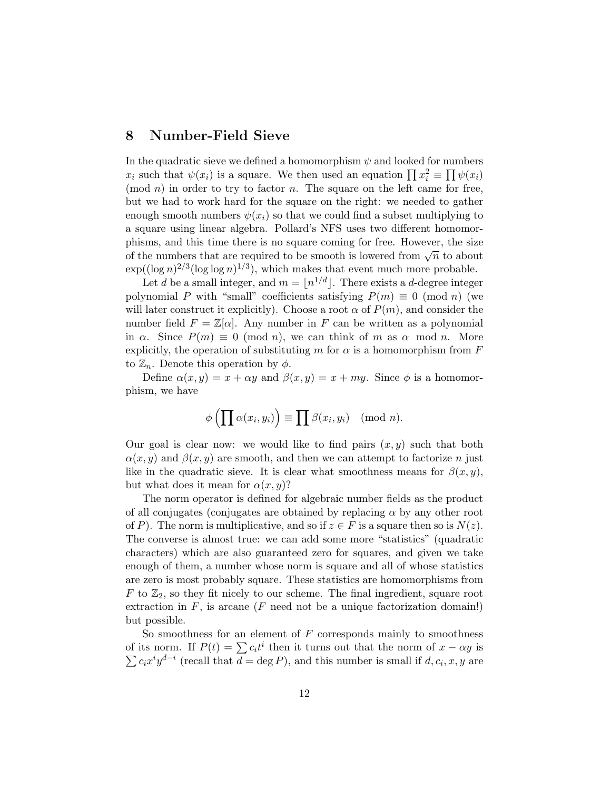### 8 Number-Field Sieve

In the quadratic sieve we defined a homomorphism  $\psi$  and looked for numbers  $x_i$  such that  $\psi(x_i)$  is a square. We then used an equation  $\prod x_i^2 \equiv \prod \psi(x_i)$  $(mod n)$  in order to try to factor n. The square on the left came for free, but we had to work hard for the square on the right: we needed to gather enough smooth numbers  $\psi(x_i)$  so that we could find a subset multiplying to a square using linear algebra. Pollard's NFS uses two different homomorphisms, and this time there is no square coming for free. However, the size phisms, and this time there is no square coming for free. However, the size of the numbers that are required to be smooth is lowered from  $\sqrt{n}$  to about  $\exp((\log n)^{2/3}(\log \log n)^{1/3})$ , which makes that event much more probable.

Let d be a small integer, and  $m = |n^{1/d}|$ . There exists a d-degree integer polynomial P with "small" coefficients satisfying  $P(m) \equiv 0 \pmod{n}$  (we will later construct it explicitly). Choose a root  $\alpha$  of  $P(m)$ , and consider the number field  $F = \mathbb{Z}[\alpha]$ . Any number in F can be written as a polynomial in  $\alpha$ . Since  $P(m) \equiv 0 \pmod{n}$ , we can think of m as  $\alpha$  mod n. More explicitly, the operation of substituting m for  $\alpha$  is a homomorphism from F to  $\mathbb{Z}_n$ . Denote this operation by  $\phi$ .

Define  $\alpha(x, y) = x + \alpha y$  and  $\beta(x, y) = x + my$ . Since  $\phi$  is a homomorphism, we have

$$
\phi\left(\prod \alpha(x_i, y_i)\right) \equiv \prod \beta(x_i, y_i) \pmod{n}.
$$

Our goal is clear now: we would like to find pairs  $(x, y)$  such that both  $\alpha(x, y)$  and  $\beta(x, y)$  are smooth, and then we can attempt to factorize n just like in the quadratic sieve. It is clear what smoothness means for  $\beta(x, y)$ , but what does it mean for  $\alpha(x, y)$ ?

The norm operator is defined for algebraic number fields as the product of all conjugates (conjugates are obtained by replacing  $\alpha$  by any other root of P). The norm is multiplicative, and so if  $z \in F$  is a square then so is  $N(z)$ . The converse is almost true: we can add some more "statistics" (quadratic characters) which are also guaranteed zero for squares, and given we take enough of them, a number whose norm is square and all of whose statistics are zero is most probably square. These statistics are homomorphisms from  $F$  to  $\mathbb{Z}_2$ , so they fit nicely to our scheme. The final ingredient, square root extraction in  $F$ , is arcane ( $F$  need not be a unique factorization domain!) but possible.

So smoothness for an element of  $F$  corresponds mainly to smoothness of its norm. If  $P(t) = \sum c_i t^i$  then it turns out that the norm of  $x - \alpha y$  is  $\sum c_i x^i y^{d-i}$  (recall that  $d = \deg P$ ), and this number is small if  $d, c_i, x, y$  are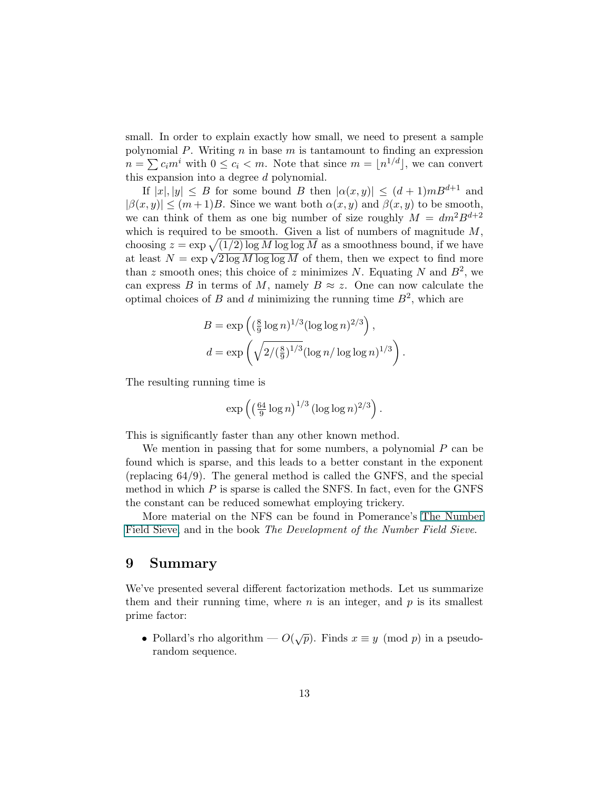small. In order to explain exactly how small, we need to present a sample polynomial  $P$ . Writing  $n$  in base  $m$  is tantamount to finding an expression  $n = \sum c_i m^i$  with  $0 \le c_i < m$ . Note that since  $m = \lfloor n^{1/d} \rfloor$ , we can convert this expansion into a degree d polynomial.

If  $|x|, |y| \leq B$  for some bound B then  $|\alpha(x, y)| \leq (d+1)mB^{d+1}$  and  $|\beta(x, y)| \leq (m+1)B$ . Since we want both  $\alpha(x, y)$  and  $\beta(x, y)$  to be smooth, we can think of them as one big number of size roughly  $M = dm^2B^{d+2}$ which is required to be smooth. Given a list of numbers of magnitude  $M$ , choosing  $z = \exp \sqrt{(1/2) \log M \log \log M}$  as a smoothness bound, if we have choosing  $z = \exp \sqrt{(1/2)} \log M \log \log M$  as a smoothness bound, if we have<br>at least  $N = \exp \sqrt{2 \log M} \log \log M$  of them, then we expect to find more than z smooth ones; this choice of z minimizes N. Equating N and  $B^2$ , we can express B in terms of M, namely  $B \approx z$ . One can now calculate the optimal choices of B and d minimizing the running time  $B^2$ , which are

$$
B = \exp\left((\frac{8}{9}\log n)^{1/3}(\log \log n)^{2/3}\right),
$$
  

$$
d = \exp\left(\sqrt{2/(\frac{8}{9})^{1/3}}(\log n/\log \log n)^{1/3}\right).
$$

The resulting running time is

$$
\exp\left(\left(\tfrac{64}{9}\log n\right)^{1/3}(\log\log n)^{2/3}\right).
$$

This is significantly faster than any other known method.

We mention in passing that for some numbers, a polynomial  $P$  can be found which is sparse, and this leads to a better constant in the exponent (replacing 64/9). The general method is called the GNFS, and the special method in which  $P$  is sparse is called the SNFS. In fact, even for the GNFS the constant can be reduced somewhat employing trickery.

More material on the NFS can be found in Pomerance's [The Number](#page-0-0) [Field Sieve,](#page-0-0) and in the book The Development of the Number Field Sieve.

#### 9 Summary

We've presented several different factorization methods. Let us summarize them and their running time, where  $n$  is an integer, and  $p$  is its smallest prime factor:

• Pollard's rho algorithm —  $O(\sqrt{p})$ . Finds  $x \equiv y \pmod{p}$  in a pseudorandom sequence.